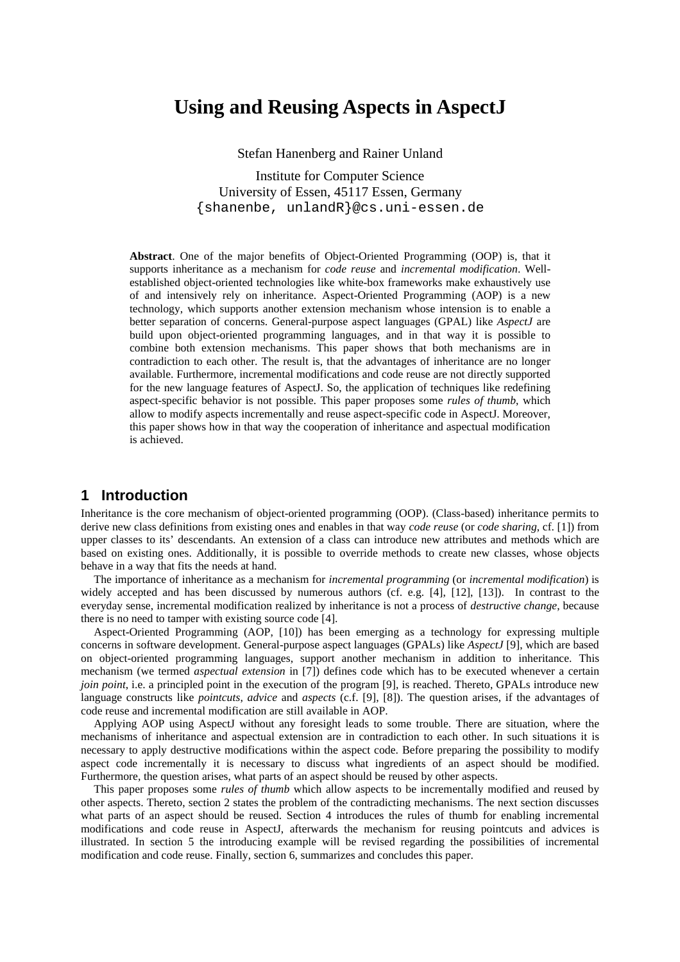# **Using and Reusing Aspects in AspectJ**

Stefan Hanenberg and Rainer Unland

Institute for Computer Science University of Essen, 45117 Essen, Germany {shanenbe, unlandR}@cs.uni-essen.de

**Abstract**. One of the major benefits of Object-Oriented Programming (OOP) is, that it supports inheritance as a mechanism for *code reuse* and *incremental modification*. Wellestablished object-oriented technologies like white-box frameworks make exhaustively use of and intensively rely on inheritance. Aspect-Oriented Programming (AOP) is a new technology, which supports another extension mechanism whose intension is to enable a better separation of concerns. General-purpose aspect languages (GPAL) like *AspectJ* are build upon object-oriented programming languages, and in that way it is possible to combine both extension mechanisms. This paper shows that both mechanisms are in contradiction to each other. The result is, that the advantages of inheritance are no longer available. Furthermore, incremental modifications and code reuse are not directly supported for the new language features of AspectJ. So, the application of techniques like redefining aspect-specific behavior is not possible. This paper proposes some *rules of thumb*, which allow to modify aspects incrementally and reuse aspect-specific code in AspectJ. Moreover, this paper shows how in that way the cooperation of inheritance and aspectual modification is achieved.

## **1 Introduction**

Inheritance is the core mechanism of object-oriented programming (OOP). (Class-based) inheritance permits to derive new class definitions from existing ones and enables in that way *code reuse* (or *code sharing*, cf. [1]) from upper classes to its' descendants. An extension of a class can introduce new attributes and methods which are based on existing ones. Additionally, it is possible to override methods to create new classes, whose objects behave in a way that fits the needs at hand.

The importance of inheritance as a mechanism for *incremental programming* (or *incremental modification*) is widely accepted and has been discussed by numerous authors (cf. e.g. [4], [12], [13]). In contrast to the everyday sense, incremental modification realized by inheritance is not a process of *destructive change*, because there is no need to tamper with existing source code [4].

Aspect-Oriented Programming (AOP, [10]) has been emerging as a technology for expressing multiple concerns in software development. General-purpose aspect languages (GPALs) like *AspectJ* [9], which are based on object-oriented programming languages, support another mechanism in addition to inheritance. This mechanism (we termed *aspectual extension* in [7]) defines code which has to be executed whenever a certain *join point*, i.e. a principled point in the execution of the program [9], is reached. Thereto, GPALs introduce new language constructs like *pointcuts*, *advice* and *aspects* (c.f. [9], [8]). The question arises, if the advantages of code reuse and incremental modification are still available in AOP.

Applying AOP using AspectJ without any foresight leads to some trouble. There are situation, where the mechanisms of inheritance and aspectual extension are in contradiction to each other. In such situations it is necessary to apply destructive modifications within the aspect code. Before preparing the possibility to modify aspect code incrementally it is necessary to discuss what ingredients of an aspect should be modified. Furthermore, the question arises, what parts of an aspect should be reused by other aspects.

This paper proposes some *rules of thumb* which allow aspects to be incrementally modified and reused by other aspects. Thereto, section 2 states the problem of the contradicting mechanisms. The next section discusses what parts of an aspect should be reused. Section 4 introduces the rules of thumb for enabling incremental modifications and code reuse in AspectJ, afterwards the mechanism for reusing pointcuts and advices is illustrated. In section 5 the introducing example will be revised regarding the possibilities of incremental modification and code reuse. Finally, section 6, summarizes and concludes this paper.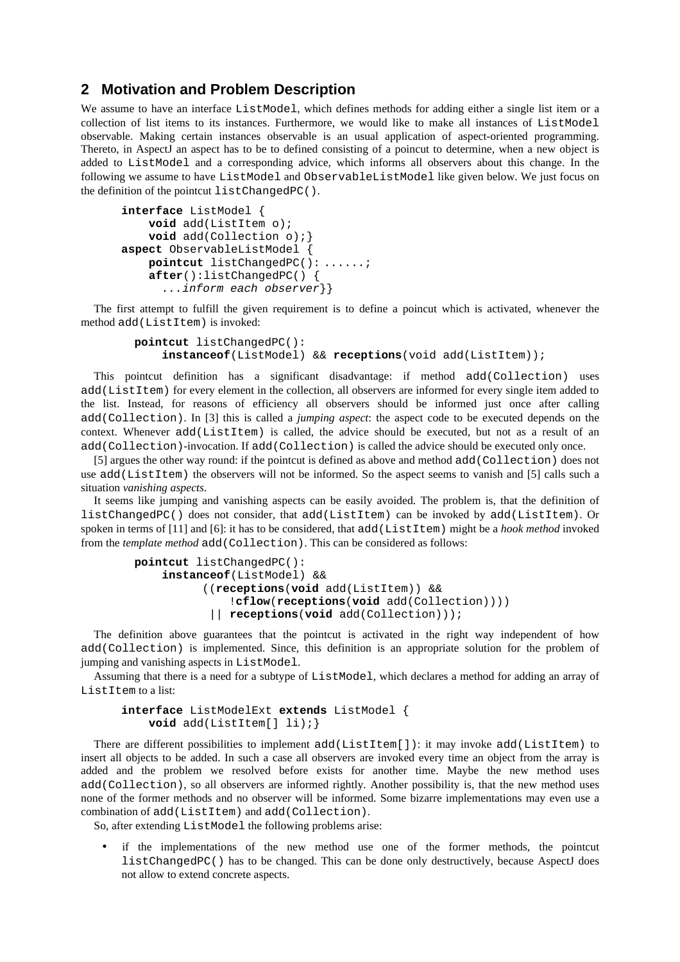### **2 Motivation and Problem Description**

We assume to have an interface ListModel, which defines methods for adding either a single list item or a collection of list items to its instances. Furthermore, we would like to make all instances of ListModel observable. Making certain instances observable is an usual application of aspect-oriented programming. Thereto, in AspectJ an aspect has to be to defined consisting of a poincut to determine, when a new object is added to ListModel and a corresponding advice, which informs all observers about this change. In the following we assume to have ListModel and ObservableListModel like given below. We just focus on the definition of the pointcut listChangedPC().

```
interface ListModel {
     void add(ListItem o);
     void add(Collection o);}
aspect ObservableListModel {
     pointcut listChangedPC(): ......;
     after():listChangedPC() {
      ...inform each observer}}
```
The first attempt to fulfill the given requirement is to define a poincut which is activated, whenever the method add(ListItem) is invoked:

```
pointcut listChangedPC(): 
    instanceof(ListModel) && receptions(void add(ListItem));
```
This pointcut definition has a significant disadvantage: if method add(Collection) uses add(ListItem) for every element in the collection, all observers are informed for every single item added to the list. Instead, for reasons of efficiency all observers should be informed just once after calling add(Collection). In [3] this is called a *jumping aspect*: the aspect code to be executed depends on the context. Whenever add(ListItem) is called, the advice should be executed, but not as a result of an add(Collection)-invocation. If add(Collection) is called the advice should be executed only once.

[5] argues the other way round: if the pointcut is defined as above and method add(Collection) does not use add(ListItem) the observers will not be informed. So the aspect seems to vanish and [5] calls such a situation *vanishing aspects*.

It seems like jumping and vanishing aspects can be easily avoided. The problem is, that the definition of listChangedPC() does not consider, that add(ListItem) can be invoked by add(ListItem). Or spoken in terms of [11] and [6]: it has to be considered, that add(ListItem) might be a *hook method* invoked from the *template method* add(Collection). This can be considered as follows:

```
pointcut listChangedPC(): 
    instanceof(ListModel) && 
          ((receptions(void add(ListItem)) && 
               !cflow(receptions(void add(Collection))))
            || receptions(void add(Collection)));
```
The definition above guarantees that the pointcut is activated in the right way independent of how add(Collection) is implemented. Since, this definition is an appropriate solution for the problem of jumping and vanishing aspects in ListModel.

Assuming that there is a need for a subtype of ListModel, which declares a method for adding an array of ListItem to a list:

```
interface ListModelExt extends ListModel {
    void add(ListItem[] li);}
```
There are different possibilities to implement add(ListItem[]): it may invoke add(ListItem) to insert all objects to be added. In such a case all observers are invoked every time an object from the array is added and the problem we resolved before exists for another time. Maybe the new method uses add(Collection), so all observers are informed rightly. Another possibility is, that the new method uses none of the former methods and no observer will be informed. Some bizarre implementations may even use a combination of add(ListItem) and add(Collection).

So, after extending ListModel the following problems arise:

• if the implementations of the new method use one of the former methods, the pointcut listChangedPC() has to be changed. This can be done only destructively, because AspectJ does not allow to extend concrete aspects.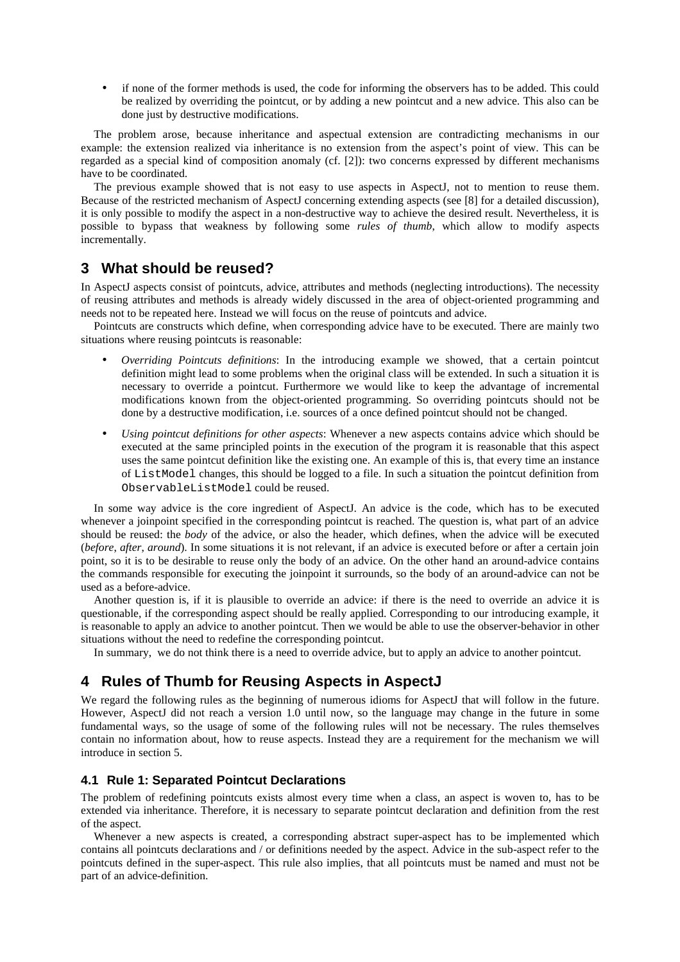• if none of the former methods is used, the code for informing the observers has to be added. This could be realized by overriding the pointcut, or by adding a new pointcut and a new advice. This also can be done just by destructive modifications.

The problem arose, because inheritance and aspectual extension are contradicting mechanisms in our example: the extension realized via inheritance is no extension from the aspect's point of view. This can be regarded as a special kind of composition anomaly (cf. [2]): two concerns expressed by different mechanisms have to be coordinated.

The previous example showed that is not easy to use aspects in AspectJ, not to mention to reuse them. Because of the restricted mechanism of AspectJ concerning extending aspects (see [8] for a detailed discussion), it is only possible to modify the aspect in a non-destructive way to achieve the desired result. Nevertheless, it is possible to bypass that weakness by following some *rules of thumb*, which allow to modify aspects incrementally.

## **3 What should be reused?**

In AspectJ aspects consist of pointcuts, advice, attributes and methods (neglecting introductions). The necessity of reusing attributes and methods is already widely discussed in the area of object-oriented programming and needs not to be repeated here. Instead we will focus on the reuse of pointcuts and advice.

Pointcuts are constructs which define, when corresponding advice have to be executed. There are mainly two situations where reusing pointcuts is reasonable:

- *Overriding Pointcuts definitions*: In the introducing example we showed, that a certain pointcut definition might lead to some problems when the original class will be extended. In such a situation it is necessary to override a pointcut. Furthermore we would like to keep the advantage of incremental modifications known from the object-oriented programming. So overriding pointcuts should not be done by a destructive modification, i.e. sources of a once defined pointcut should not be changed.
- *Using pointcut definitions for other aspects*: Whenever a new aspects contains advice which should be executed at the same principled points in the execution of the program it is reasonable that this aspect uses the same pointcut definition like the existing one. An example of this is, that every time an instance of ListModel changes, this should be logged to a file. In such a situation the pointcut definition from ObservableListModel could be reused.

In some way advice is the core ingredient of AspectJ. An advice is the code, which has to be executed whenever a joinpoint specified in the corresponding pointcut is reached. The question is, what part of an advice should be reused: the *body* of the advice, or also the header, which defines, when the advice will be executed (*before*, *after*, *around*). In some situations it is not relevant, if an advice is executed before or after a certain join point, so it is to be desirable to reuse only the body of an advice. On the other hand an around-advice contains the commands responsible for executing the joinpoint it surrounds, so the body of an around-advice can not be used as a before-advice.

Another question is, if it is plausible to override an advice: if there is the need to override an advice it is questionable, if the corresponding aspect should be really applied. Corresponding to our introducing example, it is reasonable to apply an advice to another pointcut. Then we would be able to use the observer-behavior in other situations without the need to redefine the corresponding pointcut.

In summary, we do not think there is a need to override advice, but to apply an advice to another pointcut.

## **4 Rules of Thumb for Reusing Aspects in AspectJ**

We regard the following rules as the beginning of numerous idioms for AspectJ that will follow in the future. However, AspectJ did not reach a version 1.0 until now, so the language may change in the future in some fundamental ways, so the usage of some of the following rules will not be necessary. The rules themselves contain no information about, how to reuse aspects. Instead they are a requirement for the mechanism we will introduce in section 5.

### **4.1 Rule 1: Separated Pointcut Declarations**

The problem of redefining pointcuts exists almost every time when a class, an aspect is woven to, has to be extended via inheritance. Therefore, it is necessary to separate pointcut declaration and definition from the rest of the aspect.

Whenever a new aspects is created, a corresponding abstract super-aspect has to be implemented which contains all pointcuts declarations and / or definitions needed by the aspect. Advice in the sub-aspect refer to the pointcuts defined in the super-aspect. This rule also implies, that all pointcuts must be named and must not be part of an advice-definition.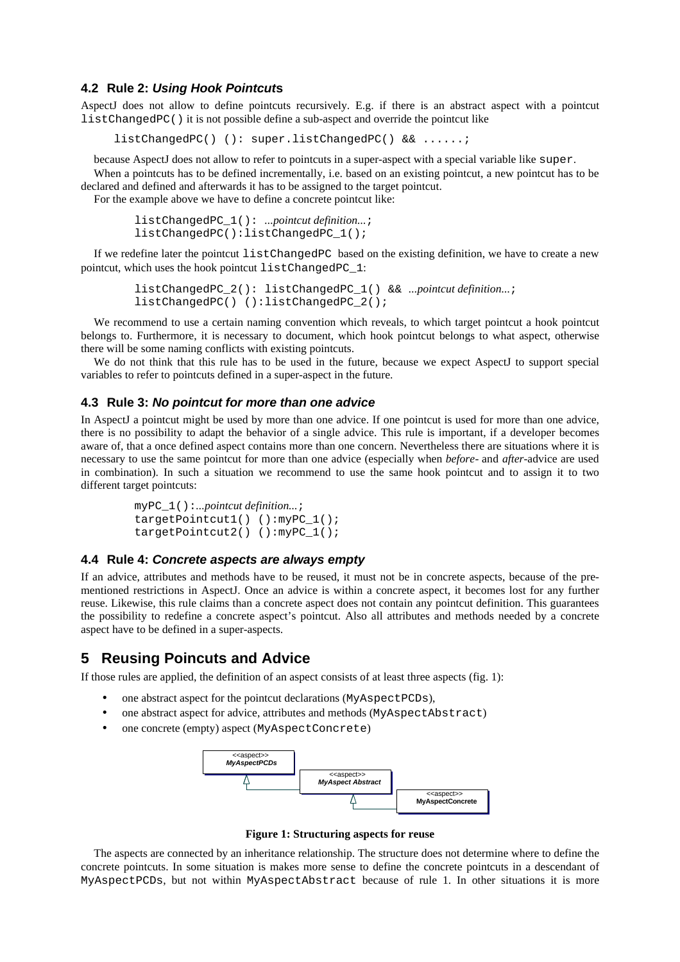#### **4.2 Rule 2:** *Using Hook Pointcut***s**

AspectJ does not allow to define pointcuts recursively. E.g. if there is an abstract aspect with a pointcut listChangedPC() it is not possible define a sub-aspect and override the pointcut like

listChangedPC() (): super.listChangedPC() && ......;

because AspectJ does not allow to refer to pointcuts in a super-aspect with a special variable like super.

When a pointcuts has to be defined incrementally, i.e. based on an existing pointcut, a new pointcut has to be declared and defined and afterwards it has to be assigned to the target pointcut.

For the example above we have to define a concrete pointcut like:

```
listChangedPC_1(): ...pointcut definition...;
listChangedPC():listChangedPC_1();
```
If we redefine later the pointcut listChangedPC based on the existing definition, we have to create a new pointcut, which uses the hook pointcut listChangedPC\_1:

```
listChangedPC_2(): listChangedPC_1() && ...pointcut definition...;
listChangedPC() ():listChangedPC_2();
```
We recommend to use a certain naming convention which reveals, to which target pointcut a hook pointcut belongs to. Furthermore, it is necessary to document, which hook pointcut belongs to what aspect, otherwise there will be some naming conflicts with existing pointcuts.

We do not think that this rule has to be used in the future, because we expect AspectJ to support special variables to refer to pointcuts defined in a super-aspect in the future.

#### **4.3 Rule 3:** *No pointcut for more than one advice*

In AspectJ a pointcut might be used by more than one advice. If one pointcut is used for more than one advice, there is no possibility to adapt the behavior of a single advice. This rule is important, if a developer becomes aware of, that a once defined aspect contains more than one concern. Nevertheless there are situations where it is necessary to use the same pointcut for more than one advice (especially when *before*- and *after*-advice are used in combination). In such a situation we recommend to use the same hook pointcut and to assign it to two different target pointcuts:

```
myPC_1():...pointcut definition...;
targetPointcut1() ():myPC_1();
targetPointcut2() ():myPC 1();
```
#### **4.4 Rule 4:** *Concrete aspects are always empty*

If an advice, attributes and methods have to be reused, it must not be in concrete aspects, because of the prementioned restrictions in AspectJ. Once an advice is within a concrete aspect, it becomes lost for any further reuse. Likewise, this rule claims than a concrete aspect does not contain any pointcut definition. This guarantees the possibility to redefine a concrete aspect's pointcut. Also all attributes and methods needed by a concrete aspect have to be defined in a super-aspects.

## **5 Reusing Poincuts and Advice**

If those rules are applied, the definition of an aspect consists of at least three aspects (fig. 1):

- one abstract aspect for the pointcut declarations (MyAspectPCDs),
- one abstract aspect for advice, attributes and methods (MyAspectAbstract)
- one concrete (empty) aspect (MyAspectConcrete)



**Figure 1: Structuring aspects for reuse**

The aspects are connected by an inheritance relationship. The structure does not determine where to define the concrete pointcuts. In some situation is makes more sense to define the concrete pointcuts in a descendant of MyAspectPCDs, but not within MyAspectAbstract because of rule 1. In other situations it is more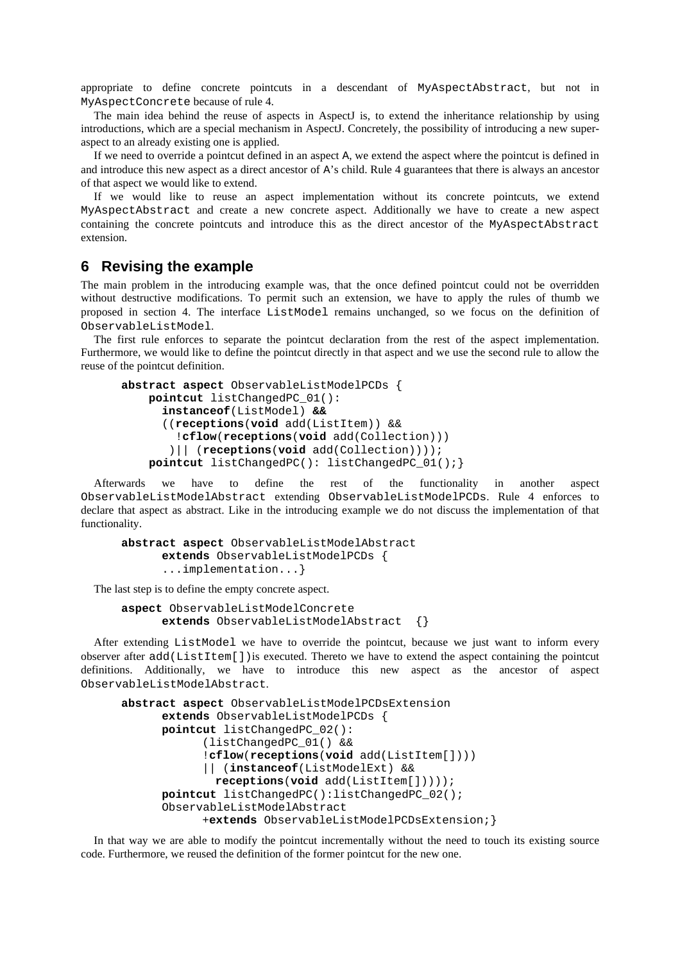appropriate to define concrete pointcuts in a descendant of MyAspectAbstract, but not in MyAspectConcrete because of rule 4.

The main idea behind the reuse of aspects in AspectJ is, to extend the inheritance relationship by using introductions, which are a special mechanism in AspectJ. Concretely, the possibility of introducing a new superaspect to an already existing one is applied.

If we need to override a pointcut defined in an aspect A, we extend the aspect where the pointcut is defined in and introduce this new aspect as a direct ancestor of A's child. Rule 4 guarantees that there is always an ancestor of that aspect we would like to extend.

If we would like to reuse an aspect implementation without its concrete pointcuts, we extend MyAspectAbstract and create a new concrete aspect. Additionally we have to create a new aspect containing the concrete pointcuts and introduce this as the direct ancestor of the MyAspectAbstract extension.

### **6 Revising the example**

The main problem in the introducing example was, that the once defined pointcut could not be overridden without destructive modifications. To permit such an extension, we have to apply the rules of thumb we proposed in section 4. The interface ListModel remains unchanged, so we focus on the definition of ObservableListModel.

The first rule enforces to separate the pointcut declaration from the rest of the aspect implementation. Furthermore, we would like to define the pointcut directly in that aspect and we use the second rule to allow the reuse of the pointcut definition.

```
abstract aspect ObservableListModelPCDs {
     pointcut listChangedPC_01():
      instanceof(ListModel) &&
      ((receptions(void add(ListItem)) &&
         !cflow(receptions(void add(Collection)))
        )|| (receptions(void add(Collection))));
     pointcut listChangedPC(): listChangedPC_01();}
```
Afterwards we have to define the rest of the functionality in another aspect ObservableListModelAbstract extending ObservableListModelPCDs. Rule 4 enforces to declare that aspect as abstract. Like in the introducing example we do not discuss the implementation of that functionality.

```
abstract aspect ObservableListModelAbstract 
      extends ObservableListModelPCDs {
      ...implementation...}
```
The last step is to define the empty concrete aspect.

```
aspect ObservableListModelConcrete
      extends ObservableListModelAbstract {}
```
After extending ListModel we have to override the pointcut, because we just want to inform every observer after add(ListItem[])is executed. Thereto we have to extend the aspect containing the pointcut definitions. Additionally, we have to introduce this new aspect as the ancestor of aspect ObservableListModelAbstract.

```
abstract aspect ObservableListModelPCDsExtension 
      extends ObservableListModelPCDs {
      pointcut listChangedPC_02():
             (listChangedPC_01() &&
             !cflow(receptions(void add(ListItem[])))
             || (instanceof(ListModelExt) && 
              receptions(void add(ListItem[]))));
       pointcut listChangedPC():listChangedPC_02();
       ObservableListModelAbstract
            +extends ObservableListModelPCDsExtension;}
```
In that way we are able to modify the pointcut incrementally without the need to touch its existing source code. Furthermore, we reused the definition of the former pointcut for the new one.